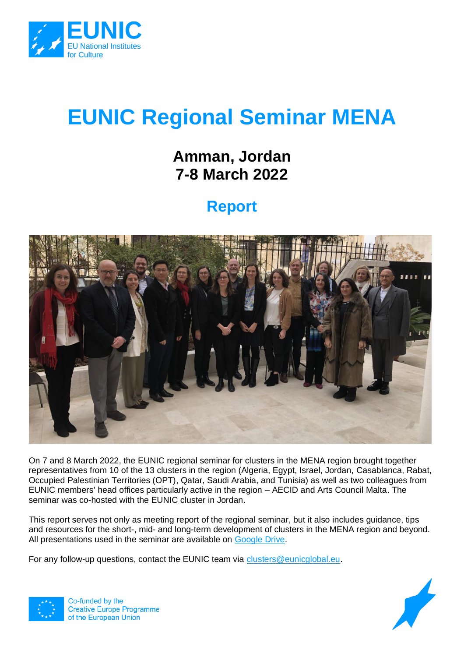

# **EUNIC Regional Seminar MENA**

## **Amman, Jordan 7-8 March 2022**

## **Report**



On 7 and 8 March 2022, the EUNIC regional seminar for clusters in the MENA region brought together representatives from 10 of the 13 clusters in the region (Algeria, Egypt, Israel, Jordan, Casablanca, Rabat, Occupied Palestinian Territories (OPT), Qatar, Saudi Arabia, and Tunisia) as well as two colleagues from EUNIC members' head offices particularly active in the region – AECID and Arts Council Malta. The seminar was co-hosted with the EUNIC cluster in Jordan.

This report serves not only as meeting report of the regional seminar, but it also includes guidance, tips and resources for the short-, mid- and long-term development of clusters in the MENA region and beyond. All presentations used in the seminar are available on [Google Drive.](https://drive.google.com/drive/u/2/folders/1LNZelb3zjloWg3GfmIUaqaV48iYik3ft)

For any follow-up questions, contact the EUNIC team via [clusters@eunicglobal.eu.](mailto:clusters@eunicglobal.eu)



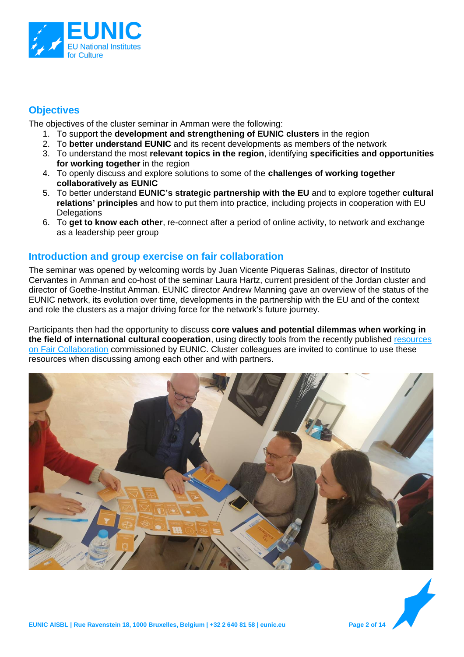

#### **Objectives**

The objectives of the cluster seminar in Amman were the following:

- 1. To support the **development and strengthening of EUNIC clusters** in the region
- 2. To **better understand EUNIC** and its recent developments as members of the network
- 3. To understand the most **relevant topics in the region**, identifying **specificities and opportunities for working together** in the region
- 4. To openly discuss and explore solutions to some of the **challenges of working together collaboratively as EUNIC**
- 5. To better understand **EUNIC's strategic partnership with the EU** and to explore together **cultural relations' principles** and how to put them into practice, including projects in cooperation with EU **Delegations**
- 6. To **get to know each other**, re-connect after a period of online activity, to network and exchange as a leadership peer group

#### **Introduction and group exercise on fair collaboration**

The seminar was opened by welcoming words by Juan Vicente Piqueras Salinas, director of Instituto Cervantes in Amman and co-host of the seminar Laura Hartz, current president of the Jordan cluster and director of Goethe-Institut Amman. EUNIC director Andrew Manning gave an overview of the status of the EUNIC network, its evolution over time, developments in the partnership with the EU and of the context and role the clusters as a major driving force for the network's future journey.

Participants then had the opportunity to discuss **core values and potential dilemmas when working in the field of international cultural cooperation**, using directly tools from the recently published [resources](https://eunic.eu/fair-collaboration)  [on Fair Collaboration](https://eunic.eu/fair-collaboration) commissioned by EUNIC. Cluster colleagues are invited to continue to use these resources when discussing among each other and with partners.



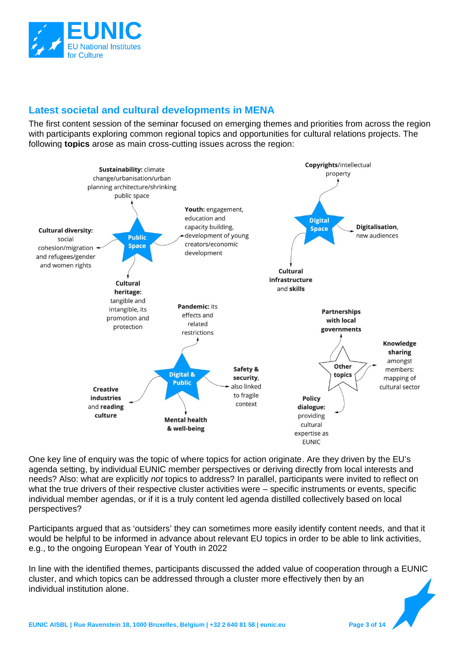

#### **Latest societal and cultural developments in MENA**

The first content session of the seminar focused on emerging themes and priorities from across the region with participants exploring common regional topics and opportunities for cultural relations projects. The following **topics** arose as main cross-cutting issues across the region:



One key line of enquiry was the topic of where topics for action originate. Are they driven by the EU's agenda setting, by individual EUNIC member perspectives or deriving directly from local interests and needs? Also: what are explicitly *not* topics to address? In parallel, participants were invited to reflect on what the true drivers of their respective cluster activities were – specific instruments or events, specific individual member agendas, or if it is a truly content led agenda distilled collectively based on local perspectives?

Participants argued that as 'outsiders' they can sometimes more easily identify content needs, and that it would be helpful to be informed in advance about relevant EU topics in order to be able to link activities, e.g., to the ongoing European Year of Youth in 2022

In line with the identified themes, participants discussed the added value of cooperation through a EUNIC cluster, and which topics can be addressed through a cluster more effectively then by an individual institution alone.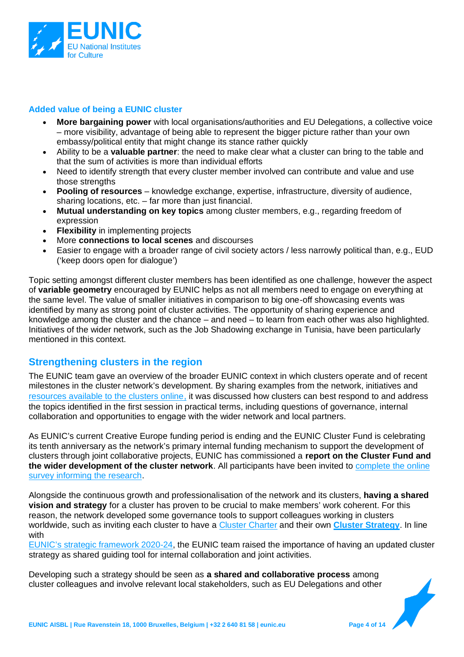

#### **Added value of being a EUNIC cluster**

- **More bargaining power** with local organisations/authorities and EU Delegations, a collective voice – more visibility, advantage of being able to represent the bigger picture rather than your own embassy/political entity that might change its stance rather quickly
- Ability to be a **valuable partner**: the need to make clear what a cluster can bring to the table and that the sum of activities is more than individual efforts
- Need to identify strength that every cluster member involved can contribute and value and use those strengths
- **Pooling of resources** knowledge exchange, expertise, infrastructure, diversity of audience, sharing locations, etc. – far more than just financial.
- **Mutual understanding on key topics** among cluster members, e.g., regarding freedom of expression
- **Flexibility** in implementing projects
- More **connections to local scenes** and discourses
- Easier to engage with a broader range of civil society actors / less narrowly political than, e.g., EUD ('keep doors open for dialogue')

Topic setting amongst different cluster members has been identified as one challenge, however the aspect of **variable geometry** encouraged by EUNIC helps as not all members need to engage on everything at the same level. The value of smaller initiatives in comparison to big one-off showcasing events was identified by many as strong point of cluster activities. The opportunity of sharing experience and knowledge among the cluster and the chance – and need – to learn from each other was also highlighted. Initiatives of the wider network, such as the Job Shadowing exchange in Tunisia, have been particularly mentioned in this context.

#### **Strengthening clusters in the region**

The EUNIC team gave an overview of the broader EUNIC context in which clusters operate and of recent milestones in the cluster network's development. By sharing examples from the network, initiatives and [resources available to the clusters online](https://eunic.eu/resources), it was discussed how clusters can best respond to and address the topics identified in the first session in practical terms, including questions of governance, internal collaboration and opportunities to engage with the wider network and local partners.

As EUNIC's current Creative Europe funding period is ending and the EUNIC Cluster Fund is celebrating its tenth anniversary as the network's primary internal funding mechanism to support the development of clusters through joint collaborative projects, EUNIC has commissioned a **report on the Cluster Fund and the wider development of the cluster network**. All participants have been invited to [complete the online](https://eunicglobal.typeform.com/to/SKxZ3CaS)  [survey informing the research.](https://eunicglobal.typeform.com/to/SKxZ3CaS)

Alongside the continuous growth and professionalisation of the network and its clusters, **having a shared vision and strategy** for a cluster has proven to be crucial to make members' work coherent. For this reason, the network developed some governance tools to support colleagues working in clusters worldwide, such as inviting each cluster to have a [Cluster Charter](https://drive.google.com/drive/u/2/folders/1gF5uTwuzoeEVplM9CaroY5cQpN-7DUK8) and their own **[Cluster Strategy](https://drive.google.com/drive/u/1/folders/1JBLiDj39YxQSdtPuSLX-goKKyMsM5-_i)**. In line with

[EUNIC's strategic framewo](https://drive.google.com/drive/u/2/folders/1Idd-OApjdE0Q6ial1JcroPEYERf4uW8S)rk 2020-24, the EUNIC team raised the importance of having an updated cluster strategy as shared guiding tool for internal collaboration and joint activities.

Developing such a strategy should be seen as **a shared and collaborative process** among cluster colleagues and involve relevant local stakeholders, such as EU Delegations and other

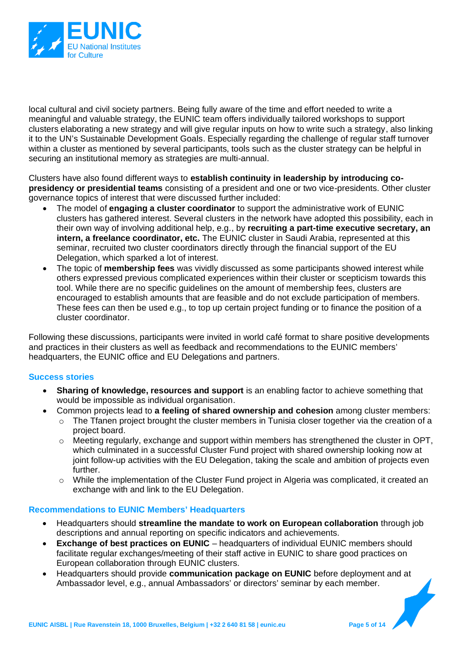

local cultural and civil society partners. Being fully aware of the time and effort needed to write a meaningful and valuable strategy, the EUNIC team offers individually tailored workshops to support clusters elaborating a new strategy and will give regular inputs on how to write such a strategy, also linking it to the UN's Sustainable Development Goals. Especially regarding the challenge of regular staff turnover within a cluster as mentioned by several participants, tools such as the cluster strategy can be helpful in securing an institutional memory as strategies are multi-annual.

Clusters have also found different ways to **establish continuity in leadership by introducing copresidency or presidential teams** consisting of a president and one or two vice-presidents. Other cluster governance topics of interest that were discussed further included:

- The model of **engaging a cluster coordinator** to support the administrative work of EUNIC clusters has gathered interest. Several clusters in the network have adopted this possibility, each in their own way of involving additional help, e.g., by **recruiting a part-time executive secretary, an intern, a freelance coordinator, etc.** The EUNIC cluster in Saudi Arabia, represented at this seminar, recruited two cluster coordinators directly through the financial support of the EU Delegation, which sparked a lot of interest.
- The topic of **membership fees** was vividly discussed as some participants showed interest while others expressed previous complicated experiences within their cluster or scepticism towards this tool. While there are no specific quidelines on the amount of membership fees, clusters are encouraged to establish amounts that are feasible and do not exclude participation of members. These fees can then be used e.g., to top up certain project funding or to finance the position of a cluster coordinator.

Following these discussions, participants were invited in world café format to share positive developments and practices in their clusters as well as feedback and recommendations to the EUNIC members' headquarters, the EUNIC office and EU Delegations and partners.

#### **Success stories**

- **Sharing of knowledge, resources and support** is an enabling factor to achieve something that would be impossible as individual organisation.
- Common projects lead to **a feeling of shared ownership and cohesion** among cluster members:
	- $\circ$  The Tfanen project brought the cluster members in Tunisia closer together via the creation of a project board.
	- o Meeting regularly, exchange and support within members has strengthened the cluster in OPT, which culminated in a successful Cluster Fund project with shared ownership looking now at joint follow-up activities with the EU Delegation, taking the scale and ambition of projects even further.
	- o While the implementation of the Cluster Fund project in Algeria was complicated, it created an exchange with and link to the EU Delegation.

#### **Recommendations to EUNIC Members' Headquarters**

- Headquarters should **streamline the mandate to work on European collaboration** through job descriptions and annual reporting on specific indicators and achievements.
- **Exchange of best practices on EUNIC** headquarters of individual EUNIC members should facilitate regular exchanges/meeting of their staff active in EUNIC to share good practices on European collaboration through EUNIC clusters.
- Headquarters should provide **communication package on EUNIC** before deployment and at Ambassador level, e.g., annual Ambassadors' or directors' seminar by each member.

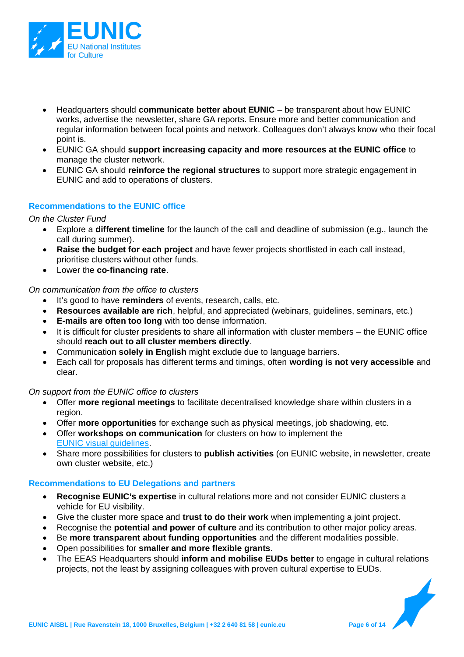

- Headquarters should **communicate better about EUNIC**  be transparent about how EUNIC works, advertise the newsletter, share GA reports. Ensure more and better communication and regular information between focal points and network. Colleagues don't always know who their focal point is.
- EUNIC GA should **support increasing capacity and more resources at the EUNIC office** to manage the cluster network.
- EUNIC GA should **reinforce the regional structures** to support more strategic engagement in EUNIC and add to operations of clusters.

#### **Recommendations to the EUNIC office**

*On the Cluster Fund* 

- Explore a **different timeline** for the launch of the call and deadline of submission (e.g., launch the call during summer).
- **Raise the budget for each project** and have fewer projects shortlisted in each call instead, prioritise clusters without other funds.
- Lower the **co-financing rate**.

#### *On communication from the office to clusters*

- It's good to have **reminders** of events, research, calls, etc.
- **Resources available are rich**, helpful, and appreciated (webinars, guidelines, seminars, etc.)
- **E-mails are often too long** with too dense information.
- It is difficult for cluster presidents to share all information with cluster members the EUNIC office should **reach out to all cluster members directly**.
- Communication **solely in English** might exclude due to language barriers.
- Each call for proposals has different terms and timings, often **wording is not very accessible** and clear.

#### *On support from the EUNIC office to clusters*

- Offer **more regional meetings** to facilitate decentralised knowledge share within clusters in a region.
- Offer **more opportunities** for exchange such as physical meetings, job shadowing, etc.
- Offer **workshops on communication** for clusters on how to implement the [EUNIC visual guidelines.](https://drive.google.com/drive/u/1/folders/1Qwhj8P93kQkVG3be4p2d7gCPA8VQ3HSQ)
- Share more possibilities for clusters to **publish activities** (on EUNIC website, in newsletter, create own cluster website, etc.)

#### **Recommendations to EU Delegations and partners**

- **Recognise EUNIC's expertise** in cultural relations more and not consider EUNIC clusters a vehicle for EU visibility.
- Give the cluster more space and **trust to do their work** when implementing a joint project.
- Recognise the **potential and power of culture** and its contribution to other major policy areas.
- Be **more transparent about funding opportunities** and the different modalities possible.
- Open possibilities for **smaller and more flexible grants**.
- The EEAS Headquarters should **inform and mobilise EUDs better** to engage in cultural relations projects, not the least by assigning colleagues with proven cultural expertise to EUDs.

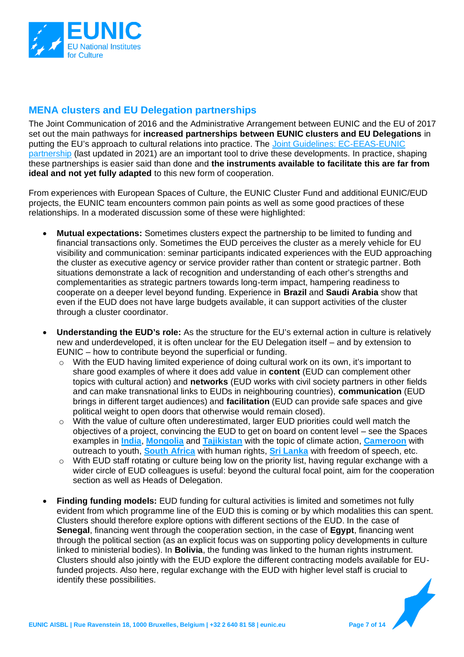

#### **MENA clusters and EU Delegation partnerships**

The Joint Communication of 2016 and the Administrative Arrangement between EUNIC and the EU of 2017 set out the main pathways for **increased partnerships between EUNIC clusters and EU Delegations** in putting the EU's approach to cultural relations into practice. The [Joint Guidelines: EC-EEAS-EUNIC](https://eunic.eu/news/joint-guidelines-updated)  [partnership](https://eunic.eu/news/joint-guidelines-updated) (last updated in 2021) are an important tool to drive these developments. In practice, shaping these partnerships is easier said than done and **the instruments available to facilitate this are far from ideal and not yet fully adapted** to this new form of cooperation.

From experiences with European Spaces of Culture, the EUNIC Cluster Fund and additional EUNIC/EUD projects, the EUNIC team encounters common pain points as well as some good practices of these relationships. In a moderated discussion some of these were highlighted:

- **Mutual expectations:** Sometimes clusters expect the partnership to be limited to funding and financial transactions only. Sometimes the EUD perceives the cluster as a merely vehicle for EU visibility and communication: seminar participants indicated experiences with the EUD approaching the cluster as executive agency or service provider rather than content or strategic partner. Both situations demonstrate a lack of recognition and understanding of each other's strengths and complementarities as strategic partners towards long-term impact, hampering readiness to cooperate on a deeper level beyond funding. Experience in **Brazil** and **Saudi Arabia** show that even if the EUD does not have large budgets available, it can support activities of the cluster through a cluster coordinator.
- **Understanding the EUD's role:** As the structure for the EU's external action in culture is relatively new and underdeveloped, it is often unclear for the EU Delegation itself – and by extension to EUNIC – how to contribute beyond the superficial or funding.
	- $\circ$  With the EUD having limited experience of doing cultural work on its own, it's important to share good examples of where it does add value in **content** (EUD can complement other topics with cultural action) and **networks** (EUD works with civil society partners in other fields and can make transnational links to EUDs in neighbouring countries), **communication** (EUD brings in different target audiences) and **facilitation** (EUD can provide safe spaces and give political weight to open doors that otherwise would remain closed).
	- o With the value of culture often underestimated, larger EUD priorities could well match the objectives of a project, convincing the EUD to get on board on content level – see the Spaces examples in **[India](https://europeanspacesofculture.eu/projects/india)**, **[Mongolia](https://europeanspacesofculture.eu/projects/mongolia-nogoonbaatar-international-eco-art-festival)** and **[Tajikistan](https://europeanspacesofculture.eu/projects/tajikistan)** with the topic of climate action, **[Cameroon](https://europeanspacesofculture.eu/projects/cameroon)** with outreach to youth, **[South Africa](https://europeanspacesofculture.eu/projects/south-africa)** with human rights, **[Sri Lanka](https://europeanspacesofculture.eu/projects/sri-lanka-colomboscope-on-language-and-multitudinal-belonging)** with freedom of speech, etc.
	- o With EUD staff rotating or culture being low on the priority list, having regular exchange with a wider circle of EUD colleagues is useful: beyond the cultural focal point, aim for the cooperation section as well as Heads of Delegation.
- **Finding funding models:** EUD funding for cultural activities is limited and sometimes not fully evident from which programme line of the EUD this is coming or by which modalities this can spent. Clusters should therefore explore options with different sections of the EUD. In the case of **Senegal**, financing went through the cooperation section, in the case of **Egypt**, financing went through the political section (as an explicit focus was on supporting policy developments in culture linked to ministerial bodies). In **Bolivia**, the funding was linked to the human rights instrument. Clusters should also jointly with the EUD explore the different contracting models available for EUfunded projects. Also here, regular exchange with the EUD with higher level staff is crucial to identify these possibilities.

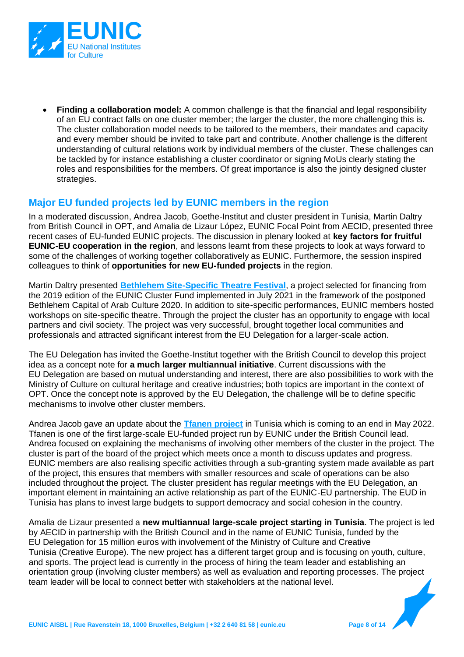

• **Finding a collaboration model:** A common challenge is that the financial and legal responsibility of an EU contract falls on one cluster member; the larger the cluster, the more challenging this is. The cluster collaboration model needs to be tailored to the members, their mandates and capacity and every member should be invited to take part and contribute. Another challenge is the different understanding of cultural relations work by individual members of the cluster. These challenges can be tackled by for instance establishing a cluster coordinator or signing MoUs clearly stating the roles and responsibilities for the members. Of great importance is also the jointly designed cluster strategies.

#### **Major EU funded projects led by EUNIC members in the region**

In a moderated discussion, Andrea Jacob, Goethe-Institut and cluster president in Tunisia, Martin Daltry from British Council in OPT, and Amalia de Lizaur López, EUNIC Focal Point from AECID, presented three recent cases of EU-funded EUNIC projects. The discussion in plenary looked at **key factors for fruitful EUNIC-EU cooperation in the region**, and lessons learnt from these projects to look at ways forward to some of the challenges of working together collaboratively as EUNIC. Furthermore, the session inspired colleagues to think of **opportunities for new EU-funded projects** in the region.

Martin Daltry presented **[Bethlehem Site-Specific Theatre Festival](https://www.youtube.com/watch?v=0HHDLTuOiUU)**, a project selected for financing from the 2019 edition of the EUNIC Cluster Fund implemented in July 2021 in the framework of the postponed Bethlehem Capital of Arab Culture 2020. In addition to site-specific performances, EUNIC members hosted workshops on site-specific theatre. Through the project the cluster has an opportunity to engage with local partners and civil society. The project was very successful, brought together local communities and professionals and attracted significant interest from the EU Delegation for a larger-scale action.

The EU Delegation has invited the Goethe-Institut together with the British Council to develop this project idea as a concept note for **a much larger multiannual initiative**. Current discussions with the EU Delegation are based on mutual understanding and interest, there are also possibilities to work with the Ministry of Culture on cultural heritage and creative industries; both topics are important in the context of OPT. Once the concept note is approved by the EU Delegation, the challenge will be to define specific mechanisms to involve other cluster members.

Andrea Jacob gave an update about the **[Tfanen project](https://www.tfanen.org/)** in Tunisia which is coming to an end in May 2022. Tfanen is one of the first large-scale EU-funded project run by EUNIC under the British Council lead. Andrea focused on explaining the mechanisms of involving other members of the cluster in the project. The cluster is part of the board of the project which meets once a month to discuss updates and progress. EUNIC members are also realising specific activities through a sub-granting system made available as part of the project, this ensures that members with smaller resources and scale of operations can be also included throughout the project. The cluster president has regular meetings with the EU Delegation, an important element in maintaining an active relationship as part of the EUNIC-EU partnership. The EUD in Tunisia has plans to invest large budgets to support democracy and social cohesion in the country.

Amalia de Lizaur presented a **new multiannual large-scale project starting in Tunisia**. The project is led by AECID in partnership with the British Council and in the name of EUNIC Tunisia, funded by the EU Delegation for 15 million euros with involvement of the Ministry of Culture and Creative Tunisia (Creative Europe). The new project has a different target group and is focusing on youth, culture, and sports. The project lead is currently in the process of hiring the team leader and establishing an orientation group (involving cluster members) as well as evaluation and reporting processes. The project team leader will be local to connect better with stakeholders at the national level.

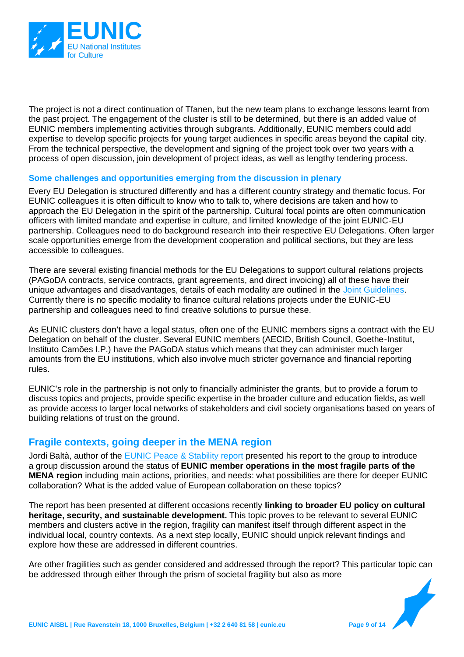

The project is not a direct continuation of Tfanen, but the new team plans to exchange lessons learnt from the past project. The engagement of the cluster is still to be determined, but there is an added value of EUNIC members implementing activities through subgrants. Additionally, EUNIC members could add expertise to develop specific projects for young target audiences in specific areas beyond the capital city. From the technical perspective, the development and signing of the project took over two years with a process of open discussion, join development of project ideas, as well as lengthy tendering process.

#### **Some challenges and opportunities emerging from the discussion in plenary**

Every EU Delegation is structured differently and has a different country strategy and thematic focus. For EUNIC colleagues it is often difficult to know who to talk to, where decisions are taken and how to approach the EU Delegation in the spirit of the partnership. Cultural focal points are often communication officers with limited mandate and expertise in culture, and limited knowledge of the joint EUNIC-EU partnership. Colleagues need to do background research into their respective EU Delegations. Often larger scale opportunities emerge from the development cooperation and political sections, but they are less accessible to colleagues.

There are several existing financial methods for the EU Delegations to support cultural relations projects (PAGoDA contracts, service contracts, grant agreements, and direct invoicing) all of these have their unique advantages and disadvantages, details of each modality are outlined in the [Joint Guidelines.](https://eunic.eu/news/joint-guidelines-updated) Currently there is no specific modality to finance cultural relations projects under the EUNIC-EU partnership and colleagues need to find creative solutions to pursue these.

As EUNIC clusters don't have a legal status, often one of the EUNIC members signs a contract with the EU Delegation on behalf of the cluster. Several EUNIC members (AECID, British Council, Goethe-Institut, Instituto Camões I.P.) have the PAGoDA status which means that they can administer much larger amounts from the EU institutions, which also involve much stricter governance and financial reporting rules.

EUNIC's role in the partnership is not only to financially administer the grants, but to provide a forum to discuss topics and projects, provide specific expertise in the broader culture and education fields, as well as provide access to larger local networks of stakeholders and civil society organisations based on years of building relations of trust on the ground.

#### **Fragile contexts, going deeper in the MENA region**

Jordi Baltà, author of the [EUNIC Peace & Stability report](https://eunic.eu/news/cultural-relations-key-approaches-in-fragile-contexts-report-available) presented his report to the group to introduce a group discussion around the status of **EUNIC member operations in the most fragile parts of the MENA region** including main actions, priorities, and needs: what possibilities are there for deeper EUNIC collaboration? What is the added value of European collaboration on these topics?

The report has been presented at different occasions recently **linking to broader EU policy on cultural heritage, security, and sustainable development.** This topic proves to be relevant to several EUNIC members and clusters active in the region, fragility can manifest itself through different aspect in the individual local, country contexts. As a next step locally, EUNIC should unpick relevant findings and explore how these are addressed in different countries.

Are other fragilities such as gender considered and addressed through the report? This particular topic can be addressed through either through the prism of societal fragility but also as more

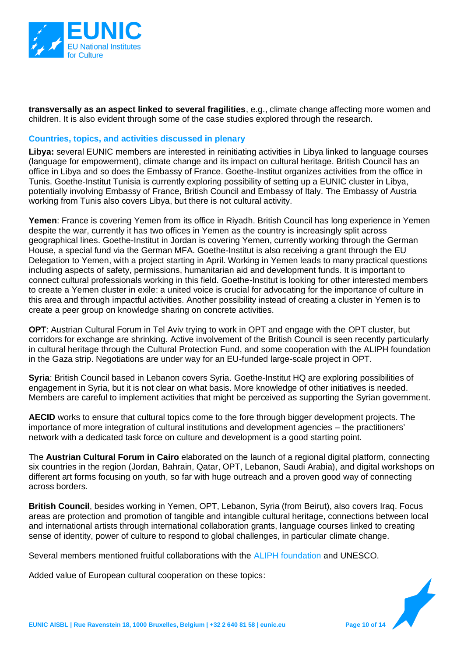

**transversally as an aspect linked to several fragilities**, e.g., climate change affecting more women and children. It is also evident through some of the case studies explored through the research.

#### **Countries, topics, and activities discussed in plenary**

**Libya:** several EUNIC members are interested in reinitiating activities in Libya linked to language courses (language for empowerment), climate change and its impact on cultural heritage. British Council has an office in Libya and so does the Embassy of France. Goethe-Institut organizes activities from the office in Tunis. Goethe-Institut Tunisia is currently exploring possibility of setting up a EUNIC cluster in Libya, potentially involving Embassy of France, British Council and Embassy of Italy. The Embassy of Austria working from Tunis also covers Libya, but there is not cultural activity.

**Yemen**: France is covering Yemen from its office in Riyadh. British Council has long experience in Yemen despite the war, currently it has two offices in Yemen as the country is increasingly split across geographical lines. Goethe-Institut in Jordan is covering Yemen, currently working through the German House, a special fund via the German MFA. Goethe-Institut is also receiving a grant through the EU Delegation to Yemen, with a project starting in April. Working in Yemen leads to many practical questions including aspects of safety, permissions, humanitarian aid and development funds. It is important to connect cultural professionals working in this field. Goethe-Institut is looking for other interested members to create a Yemen cluster in exile: a united voice is crucial for advocating for the importance of culture in this area and through impactful activities. Another possibility instead of creating a cluster in Yemen is to create a peer group on knowledge sharing on concrete activities.

**OPT**: Austrian Cultural Forum in Tel Aviv trying to work in OPT and engage with the OPT cluster, but corridors for exchange are shrinking. Active involvement of the British Council is seen recently particularly in cultural heritage through the Cultural Protection Fund, and some cooperation with the ALIPH foundation in the Gaza strip. Negotiations are under way for an EU-funded large-scale project in OPT.

**Syria**: British Council based in Lebanon covers Syria. Goethe-Institut HQ are exploring possibilities of engagement in Syria, but it is not clear on what basis. More knowledge of other initiatives is needed. Members are careful to implement activities that might be perceived as supporting the Syrian government.

**AECID** works to ensure that cultural topics come to the fore through bigger development projects. The importance of more integration of cultural institutions and development agencies – the practitioners' network with a dedicated task force on culture and development is a good starting point.

The **Austrian Cultural Forum in Cairo** elaborated on the launch of a regional digital platform, connecting six countries in the region (Jordan, Bahrain, Qatar, OPT, Lebanon, Saudi Arabia), and digital workshops on different art forms focusing on youth, so far with huge outreach and a proven good way of connecting across borders.

**British Council**, besides working in Yemen, OPT, Lebanon, Syria (from Beirut), also covers Iraq. Focus areas are protection and promotion of tangible and intangible cultural heritage, connections between local and international artists through international collaboration grants, language courses linked to creating sense of identity, power of culture to respond to global challenges, in particular climate change.

Several members mentioned fruitful collaborations with the [ALIPH foundation](https://www.aliph-foundation.org/en) and UNESCO.

Added value of European cultural cooperation on these topics:

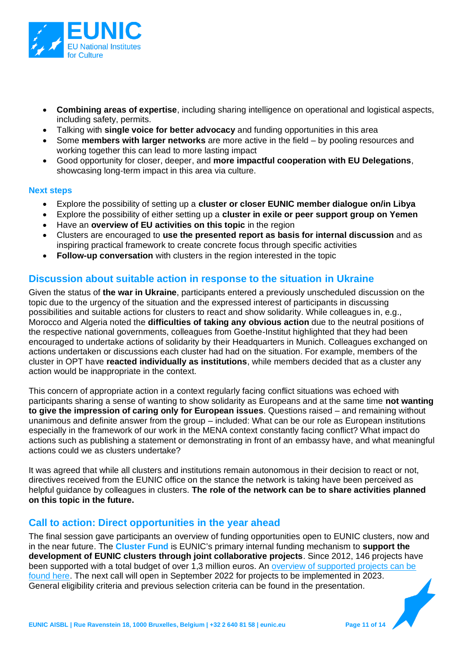

- **Combining areas of expertise**, including sharing intelligence on operational and logistical aspects, including safety, permits.
- Talking with **single voice for better advocacy** and funding opportunities in this area
- Some **members with larger networks** are more active in the field by pooling resources and working together this can lead to more lasting impact
- Good opportunity for closer, deeper, and **more impactful cooperation with EU Delegations**, showcasing long-term impact in this area via culture.

#### **Next steps**

- Explore the possibility of setting up a **cluster or closer EUNIC member dialogue on/in Libya**
- Explore the possibility of either setting up a **cluster in exile or peer support group on Yemen**
- Have an **overview of EU activities on this topic** in the region
- Clusters are encouraged to **use the presented report as basis for internal discussion** and as inspiring practical framework to create concrete focus through specific activities
- **Follow-up conversation** with clusters in the region interested in the topic

#### **Discussion about suitable action in response to the situation in Ukraine**

Given the status of **the war in Ukraine**, participants entered a previously unscheduled discussion on the topic due to the urgency of the situation and the expressed interest of participants in discussing possibilities and suitable actions for clusters to react and show solidarity. While colleagues in, e.g., Morocco and Algeria noted the **difficulties of taking any obvious action** due to the neutral positions of the respective national governments, colleagues from Goethe-Institut highlighted that they had been encouraged to undertake actions of solidarity by their Headquarters in Munich. Colleagues exchanged on actions undertaken or discussions each cluster had had on the situation. For example, members of the cluster in OPT have **reacted individually as institutions**, while members decided that as a cluster any action would be inappropriate in the context.

This concern of appropriate action in a context regularly facing conflict situations was echoed with participants sharing a sense of wanting to show solidarity as Europeans and at the same time **not wanting to give the impression of caring only for European issues**. Questions raised – and remaining without unanimous and definite answer from the group – included: What can be our role as European institutions especially in the framework of our work in the MENA context constantly facing conflict? What impact do actions such as publishing a statement or demonstrating in front of an embassy have, and what meaningful actions could we as clusters undertake?

It was agreed that while all clusters and institutions remain autonomous in their decision to react or not, directives received from the EUNIC office on the stance the network is taking have been perceived as helpful guidance by colleagues in clusters. **The role of the network can be to share activities planned on this topic in the future.** 

#### **Call to action: Direct opportunities in the year ahead**

The final session gave participants an overview of funding opportunities open to EUNIC clusters, now and in the near future. The **Cluster Fund** is EUNIC's primary internal funding mechanism to **support the development of EUNIC clusters through joint collaborative projects**. Since 2012, 146 projects have been supported with a total budget of over 1,3 million euros. An overview of supported projects can be [found here.](https://eunic.eu/projects) The next call will open in September 2022 for projects to be implemented in 2023. General eligibility criteria and previous selection criteria can be found in the presentation.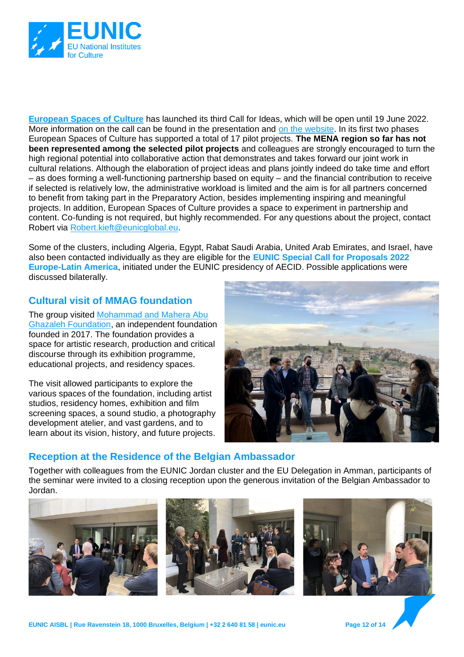

**[European Spaces of Culture](https://europeanspacesofculture.eu/)** has launched its third Call for Ideas, which will be open until 19 June 2022. More information on the call can be found in the presentation and [on the website.](https://europeanspacesofculture.eu/news/new-call-for-ideas-published) In its first two phases European Spaces of Culture has supported a total of 17 pilot projects. **The MENA region so far has not been represented among the selected pilot projects** and colleagues are strongly encouraged to turn the high regional potential into collaborative action that demonstrates and takes forward our joint work in cultural relations. Although the elaboration of project ideas and plans jointly indeed do take time and effort – as does forming a well-functioning partnership based on equity – and the financial contribution to receive if selected is relatively low, the administrative workload is limited and the aim is for all partners concerned to benefit from taking part in the Preparatory Action, besides implementing inspiring and meaningful projects. In addition, European Spaces of Culture provides a space to experiment in partnership and content. Co-funding is not required, but highly recommended. For any questions about the project, contact Robert via [Robert.kieft@eunicglobal.eu.](mailto:Robert.kieft@eunicglobal.eu)

Some of the clusters, including Algeria, Egypt, Rabat Saudi Arabia, United Arab Emirates, and Israel, have also been contacted individually as they are eligible for the **EUNIC Special Call for Proposals 2022 Europe-Latin America**, initiated under the EUNIC presidency of AECID. Possible applications were discussed bilaterally.

### **Cultural visit of MMAG foundation**

The group visited [Mohammad and Mahera Abu](http://mmagfoundation.org/)  [Ghazaleh Foundation,](http://mmagfoundation.org/) an independent foundation founded in 2017. The foundation provides a space for artistic research, production and critical discourse through its exhibition programme, educational projects, and residency spaces.

The visit allowed participants to explore the various spaces of the foundation, including artist studios, residency homes, exhibition and film screening spaces, a sound studio, a photography development atelier, and vast gardens, and to learn about its vision, history, and future projects.



### **Reception at the Residence of the Belgian Ambassador**

Together with colleagues from the EUNIC Jordan cluster and the EU Delegation in Amman, participants of the seminar were invited to a closing reception upon the generous invitation of the Belgian Ambassador to Jordan.







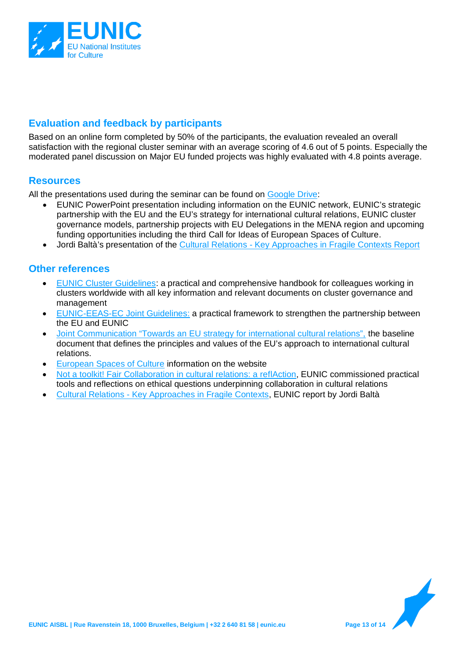

#### **Evaluation and feedback by participants**

Based on an online form completed by 50% of the participants, the evaluation revealed an overall satisfaction with the regional cluster seminar with an average scoring of 4.6 out of 5 points. Especially the moderated panel discussion on Major EU funded projects was highly evaluated with 4.8 points average.

#### **Resources**

All the presentations used during the seminar can be found on [Google Drive:](https://drive.google.com/drive/u/2/folders/1LNZelb3zjloWg3GfmIUaqaV48iYik3ft)

- EUNIC PowerPoint presentation including information on the EUNIC network, EUNIC's strategic partnership with the EU and the EU's strategy for international cultural relations, EUNIC cluster governance models, partnership projects with EU Delegations in the MENA region and upcoming funding opportunities including the third Call for Ideas of European Spaces of Culture.
- Jordi Baltà's presentation of the Cultural Relations [Key Approaches in Fragile Contexts Report](https://eunic.eu/news/cultural-relations-key-approaches-in-fragile-contexts-report-available)

#### **Other references**

- [EUNIC Cluster Guidelines:](https://drive.google.com/drive/u/2/folders/1S48zusD1BiTAGTbcYTOXzCieU7ng08gr) a practical and comprehensive handbook for colleagues working in clusters worldwide with all key information and relevant documents on cluster governance and management
- [EUNIC-EEAS-EC Joint Guidelines:](https://eunic.eu/news/joint-guidelines-updated) a practical framework to strengthen the partnership between the EU and EUNIC
- [Joint Communication "Towards an EU strategy for international cultural relations",](https://eur-lex.europa.eu/legal-content/EN/TXT/?uri=JOIN%3A2016%3A29%3AFIN) the baseline document that defines the principles and values of the EU's approach to international cultural relations.
- [European Spaces of Culture](https://europeanspacesofculture.eu/) information on the website
- [Not a toolkit! Fair Collaboration in cultural relations: a reflAction,](https://eunic.eu/fair-collaboration) EUNIC commissioned practical tools and reflections on ethical questions underpinning collaboration in cultural relations
- Cultural Relations [Key Approaches in Fragile Contexts,](https://eunic.eu/news/cultural-relations-key-approaches-in-fragile-contexts-report-available) EUNIC report by Jordi Baltà